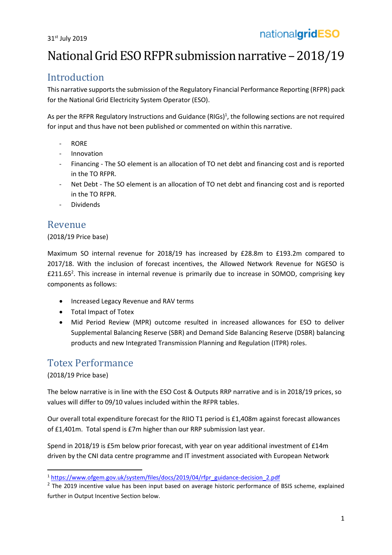# National Grid ESO RFPR submission narrative - 2018/19

## Introduction

This narrative supports the submission of the Regulatory Financial Performance Reporting (RFPR) pack for the National Grid Electricity System Operator (ESO).

As per the RFPR Regulatory Instructions and Guidance (RIGs)<sup>1</sup>, the following sections are not required for input and thus have not been published or commented on within this narrative.

- RORE
- **Innovation**
- Financing The SO element is an allocation of TO net debt and financing cost and is reported in the TO RFPR.
- Net Debt The SO element is an allocation of TO net debt and financing cost and is reported in the TO RFPR.
- Dividends

### Revenue

#### (2018/19 Price base)

Maximum SO internal revenue for 2018/19 has increased by £28.8m to £193.2m compared to 2017/18. With the inclusion of forecast incentives, the Allowed Network Revenue for NGESO is £211.65 2 . This increase in internal revenue is primarily due to increase in SOMOD, comprising key components as follows:

- Increased Legacy Revenue and RAV terms
- Total Impact of Totex
- Mid Period Review (MPR) outcome resulted in increased allowances for ESO to deliver Supplemental Balancing Reserve (SBR) and Demand Side Balancing Reserve (DSBR) balancing products and new Integrated Transmission Planning and Regulation (ITPR) roles.

## Totex Performance

#### (2018/19 Price base)

1

The below narrative is in line with the ESO Cost & Outputs RRP narrative and is in 2018/19 prices, so values will differ to 09/10 values included within the RFPR tables.

Our overall total expenditure forecast for the RIIO T1 period is £1,408m against forecast allowances of £1,401m. Total spend is £7m higher than our RRP submission last year.

Spend in 2018/19 is £5m below prior forecast, with year on year additional investment of £14m driven by the CNI data centre programme and IT investment associated with European Network

<sup>&</sup>lt;sup>1</sup> [https://www.ofgem.gov.uk/system/files/docs/2019/04/rfpr\\_guidance-decision\\_2.pdf](https://www.ofgem.gov.uk/system/files/docs/2019/04/rfpr_guidance-decision_2.pdf)

<sup>&</sup>lt;sup>2</sup> The 2019 incentive value has been input based on average historic performance of BSIS scheme, explained further in Output Incentive Section below.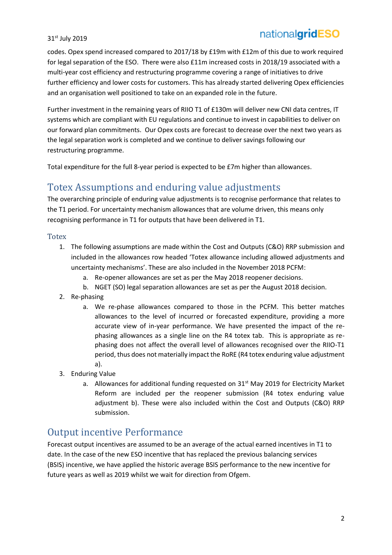# nationalgridESO

#### 31<sup>st</sup> July 2019

codes. Opex spend increased compared to 2017/18 by £19m with £12m of this due to work required for legal separation of the ESO. There were also £11m increased costs in 2018/19 associated with a multi-year cost efficiency and restructuring programme covering a range of initiatives to drive further efficiency and lower costs for customers. This has already started delivering Opex efficiencies and an organisation well positioned to take on an expanded role in the future.

Further investment in the remaining years of RIIO T1 of £130m will deliver new CNI data centres, IT systems which are compliant with EU regulations and continue to invest in capabilities to deliver on our forward plan commitments. Our Opex costs are forecast to decrease over the next two years as the legal separation work is completed and we continue to deliver savings following our restructuring programme.

Total expenditure for the full 8-year period is expected to be £7m higher than allowances.

### Totex Assumptions and enduring value adjustments

The overarching principle of enduring value adjustments is to recognise performance that relates to the T1 period. For uncertainty mechanism allowances that are volume driven, this means only recognising performance in T1 for outputs that have been delivered in T1.

#### **Totex**

- 1. The following assumptions are made within the Cost and Outputs (C&O) RRP submission and included in the allowances row headed 'Totex allowance including allowed adjustments and uncertainty mechanisms'. These are also included in the November 2018 PCFM:
	- a. Re-opener allowances are set as per the May 2018 reopener decisions.
	- b. NGET (SO) legal separation allowances are set as per the August 2018 decision.
- 2. Re-phasing
	- a. We re-phase allowances compared to those in the PCFM. This better matches allowances to the level of incurred or forecasted expenditure, providing a more accurate view of in-year performance. We have presented the impact of the rephasing allowances as a single line on the R4 totex tab. This is appropriate as rephasing does not affect the overall level of allowances recognised over the RIIO-T1 period, thus does not materially impact the RoRE (R4 totex enduring value adjustment a).
- 3. Enduring Value
	- a. Allowances for additional funding requested on 31<sup>st</sup> May 2019 for Electricity Market Reform are included per the reopener submission (R4 totex enduring value adjustment b). These were also included within the Cost and Outputs (C&O) RRP submission.

### Output incentive Performance

Forecast output incentives are assumed to be an average of the actual earned incentives in T1 to date. In the case of the new ESO incentive that has replaced the previous balancing services (BSIS) incentive, we have applied the historic average BSIS performance to the new incentive for future years as well as 2019 whilst we wait for direction from Ofgem.